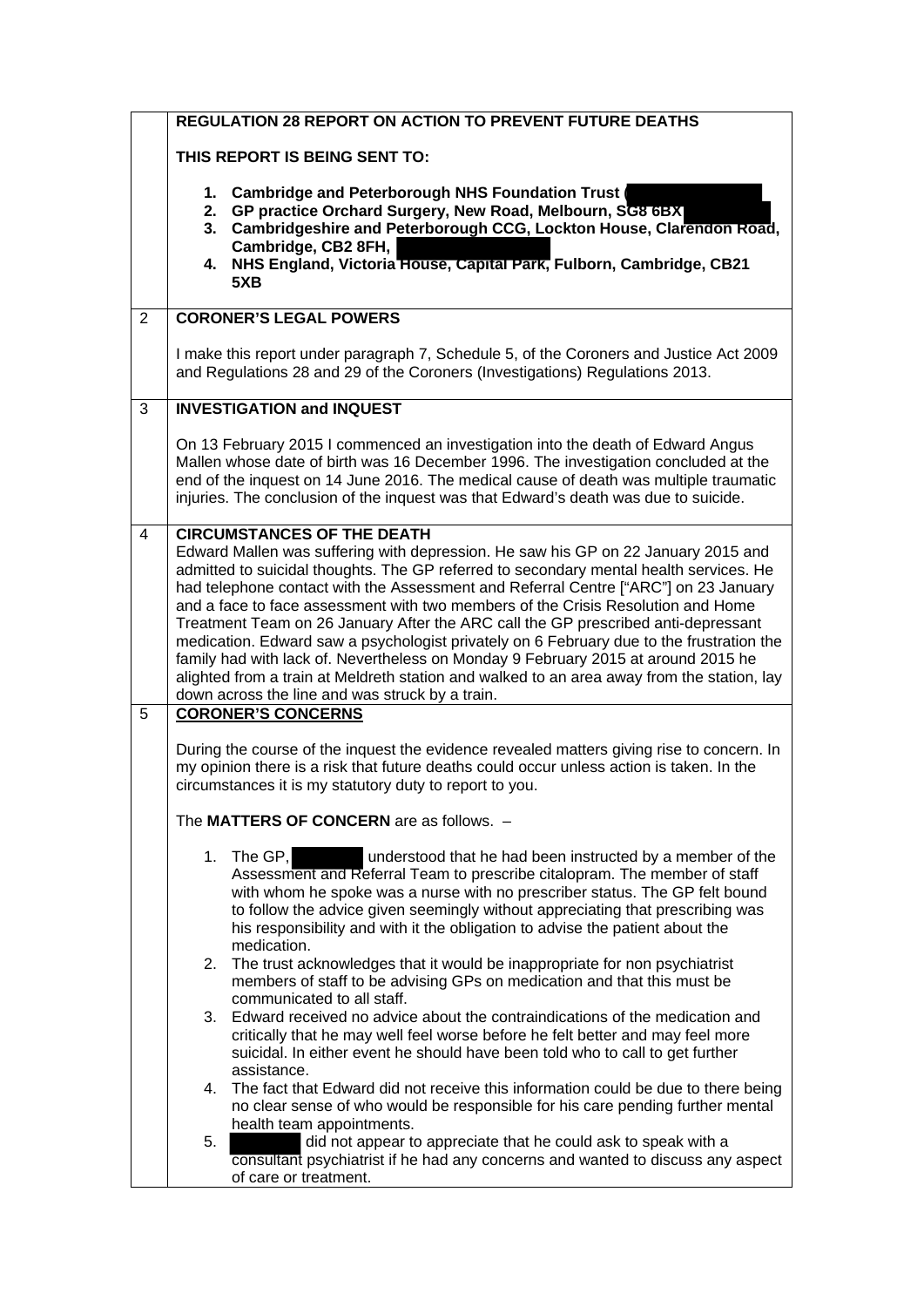|                | <b>REGULATION 28 REPORT ON ACTION TO PREVENT FUTURE DEATHS</b>                                                                                                                                                                                                                                                                                                                                                                                                                                                                                                                                                                                                                                                                                                                                                     |
|----------------|--------------------------------------------------------------------------------------------------------------------------------------------------------------------------------------------------------------------------------------------------------------------------------------------------------------------------------------------------------------------------------------------------------------------------------------------------------------------------------------------------------------------------------------------------------------------------------------------------------------------------------------------------------------------------------------------------------------------------------------------------------------------------------------------------------------------|
|                | THIS REPORT IS BEING SENT TO:                                                                                                                                                                                                                                                                                                                                                                                                                                                                                                                                                                                                                                                                                                                                                                                      |
|                | 1. Cambridge and Peterborough NHS Foundation Trust<br>GP practice Orchard Surgery, New Road, Melbourn, SG8 6BX<br>2.<br>Cambridgeshire and Peterborough CCG, Lockton House, Clarendon Road,<br>3.<br>Cambridge, CB2 8FH,<br>NHS England, Victoria House, Capital Park, Fulborn, Cambridge, CB21<br>4.<br>5XB                                                                                                                                                                                                                                                                                                                                                                                                                                                                                                       |
| $\overline{2}$ | <b>CORONER'S LEGAL POWERS</b>                                                                                                                                                                                                                                                                                                                                                                                                                                                                                                                                                                                                                                                                                                                                                                                      |
|                | I make this report under paragraph 7, Schedule 5, of the Coroners and Justice Act 2009<br>and Regulations 28 and 29 of the Coroners (Investigations) Regulations 2013.                                                                                                                                                                                                                                                                                                                                                                                                                                                                                                                                                                                                                                             |
| 3              | <b>INVESTIGATION and INQUEST</b>                                                                                                                                                                                                                                                                                                                                                                                                                                                                                                                                                                                                                                                                                                                                                                                   |
|                | On 13 February 2015 I commenced an investigation into the death of Edward Angus<br>Mallen whose date of birth was 16 December 1996. The investigation concluded at the<br>end of the inquest on 14 June 2016. The medical cause of death was multiple traumatic<br>injuries. The conclusion of the inquest was that Edward's death was due to suicide.                                                                                                                                                                                                                                                                                                                                                                                                                                                             |
| 4              | <b>CIRCUMSTANCES OF THE DEATH</b><br>Edward Mallen was suffering with depression. He saw his GP on 22 January 2015 and<br>admitted to suicidal thoughts. The GP referred to secondary mental health services. He<br>had telephone contact with the Assessment and Referral Centre ["ARC"] on 23 January<br>and a face to face assessment with two members of the Crisis Resolution and Home<br>Treatment Team on 26 January After the ARC call the GP prescribed anti-depressant<br>medication. Edward saw a psychologist privately on 6 February due to the frustration the<br>family had with lack of. Nevertheless on Monday 9 February 2015 at around 2015 he<br>alighted from a train at Meldreth station and walked to an area away from the station, lay<br>down across the line and was struck by a train. |
| 5              | <b>CORONER'S CONCERNS</b>                                                                                                                                                                                                                                                                                                                                                                                                                                                                                                                                                                                                                                                                                                                                                                                          |
|                | During the course of the inquest the evidence revealed matters giving rise to concern. In<br>my opinion there is a risk that future deaths could occur unless action is taken. In the<br>circumstances it is my statutory duty to report to you.                                                                                                                                                                                                                                                                                                                                                                                                                                                                                                                                                                   |
|                | The MATTERS OF CONCERN are as follows. -                                                                                                                                                                                                                                                                                                                                                                                                                                                                                                                                                                                                                                                                                                                                                                           |
|                | understood that he had been instructed by a member of the<br>1. The GP,<br>Assessment and Referral Team to prescribe citalopram. The member of staff<br>with whom he spoke was a nurse with no prescriber status. The GP felt bound<br>to follow the advice given seemingly without appreciating that prescribing was<br>his responsibility and with it the obligation to advise the patient about the<br>medication.                                                                                                                                                                                                                                                                                                                                                                                              |
|                | 2. The trust acknowledges that it would be inappropriate for non psychiatrist<br>members of staff to be advising GPs on medication and that this must be                                                                                                                                                                                                                                                                                                                                                                                                                                                                                                                                                                                                                                                           |
|                | communicated to all staff.<br>3. Edward received no advice about the contraindications of the medication and<br>critically that he may well feel worse before he felt better and may feel more<br>suicidal. In either event he should have been told who to call to get further<br>assistance.                                                                                                                                                                                                                                                                                                                                                                                                                                                                                                                     |
|                | 4. The fact that Edward did not receive this information could be due to there being<br>no clear sense of who would be responsible for his care pending further mental<br>health team appointments.                                                                                                                                                                                                                                                                                                                                                                                                                                                                                                                                                                                                                |
|                | 5.<br>did not appear to appreciate that he could ask to speak with a<br>consultant psychiatrist if he had any concerns and wanted to discuss any aspect<br>of care or treatment.                                                                                                                                                                                                                                                                                                                                                                                                                                                                                                                                                                                                                                   |